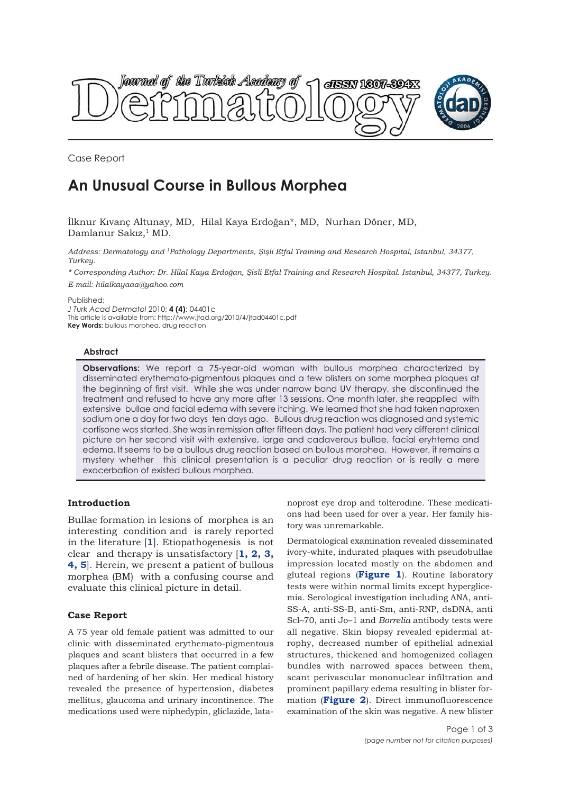



Case Report

# **An Unusual Course in Bullous Morphea**

İlknur Kıvanç Altunay, MD, Hilal Kaya Erdoğan\*, MD, Nurhan Döner, MD, Damlanur Sakız,<sup>1</sup> MD.

*Address: Dermatology and 1Pathology Departments, Şişli Etfal Training and Research Hospital, Istanbul, 34377, Turkey.*

*\* Corresponding Author: Dr. Hilal Kaya Erdoğan, Şisli Etfal Training and Research Hospital. Istanbul, 34377, Turkey.*

*E-mail: hilalkayaaa@yahoo.com*

Published:

*J Turk Acad Dermatol* 2010; **4 (4)**: 04401c This article is available from: http://www.jtad.org/2010/4/jtad04401c.pdf **Key Words:** bullous morphea, drug reaction

## **Abstract**

**Observations:** We report a 75-year-old woman with bullous morphea characterized by disseminated erythemato-pigmentous plaques and a few blisters on some morphea plaques at the beginning of first visit. While she was under narrow band UV therapy, she discontinued the treatment and refused to have any more after 13 sessions. One month later, she reapplied with extensive bullae and facial edema with severe itching. We learned that she had taken naproxen sodium one a day for two days ten days ago. Bullous drug reaction was diagnosed and systemic cortisone was started. She was in remission after fifteen days. The patient had very different clinical picture on her second visit with extensive, large and cadaverous bullae, facial eryhtema and edema. It seems to be a bullous drug reaction based on bullous morphea. However, it remains a mystery whether this clinical presentation is a peculiar drug reaction or is really a mere exacerbation of existed bullous morphea.

## **Introduction**

Bullae formation in lesions of morphea is an interesting condition and is rarely reported in the literature [**1**]. Etiopathogenesis is not clear and therapy is unsatisfactory [**1, 2, 3, 4, 5**]. Herein, we present a patient of bullous morphea (BM) with a confusing course and evaluate this clinical picture in detail.

## **Case Report**

A 75 year old female patient was admitted to our clinic with disseminated erythemato-pigmentous plaques and scant blisters that occurred in a few plaques after a febrile disease. The patient complained of hardening of her skin. Her medical history revealed the presence of hypertension, diabetes mellitus, glaucoma and urinary incontinence. The medications used were niphedypin, gliclazide, latanoprost eye drop and tolterodine. These medications had been used for over a year. Her family history was unremarkable.

Dermatological examination revealed disseminated ivory-white, indurated plaques with pseudobullae impression located mostly on the abdomen and gluteal regions (**Figure 1**). Routine laboratory tests were within normal limits except hyperglicemia. Serological investigation including ANA, anti-SS-A, anti-SS-B, anti-Sm, anti-RNP, dsDNA, anti Scl–70, anti Jo–1 and *Borrelia* antibody tests were all negative. Skin biopsy revealed epidermal atrophy, decreased number of epithelial adnexial structures, thickened and homogenized collagen bundles with narrowed spaces between them, scant perivascular mononuclear infiltration and prominent papillary edema resulting in blister formation (**Figure 2**). Direct immunofluorescence examination of the skin was negative. A new blister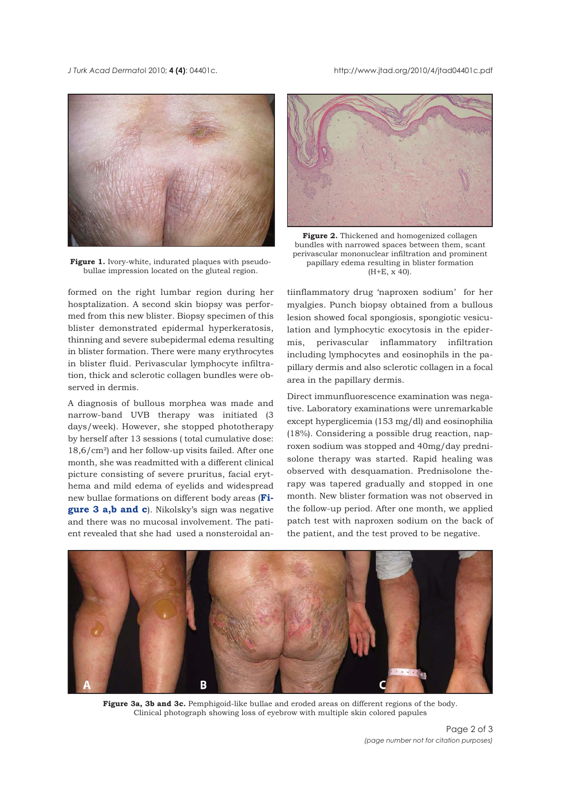*J Turk Acad Dermato*l 2010; **4 (4)**: 04401c. http://www.jtad.org/2010/4/jtad04401c.pdf



Figure 1. Ivory-white, indurated plaques with pseudobullae impression located on the gluteal region.

formed on the right lumbar region during her hosptalization. A second skin biopsy was performed from this new blister. Biopsy specimen of this blister demonstrated epidermal hyperkeratosis, thinning and severe subepidermal edema resulting in blister formation. There were many erythrocytes in blister fluid. Perivascular lymphocyte infiltration, thick and sclerotic collagen bundles were observed in dermis.

A diagnosis of bullous morphea was made and narrow-band UVB therapy was initiated (3 days/week). However, she stopped phototherapy by herself after 13 sessions ( total cumulative dose: 18,6/cm²) and her follow-up visits failed. After one month, she was readmitted with a different clinical picture consisting of severe pruritus, facial erythema and mild edema of eyelids and widespread new bullae formations on different body areas (**Figure 3 a,b and c**). Nikolsky's sign was negative and there was no mucosal involvement. The patient revealed that she had used a nonsteroidal an-



**Figure 2.** Thickened and homogenized collagen bundles with narrowed spaces between them, scant perivascular mononuclear infiltration and prominent papillary edema resulting in blister formation (H+E, x 40).

tiinflammatory drug 'naproxen sodium' for her myalgies. Punch biopsy obtained from a bullous lesion showed focal spongiosis, spongiotic vesiculation and lymphocytic exocytosis in the epidermis, perivascular inflammatory infiltration including lymphocytes and eosinophils in the papillary dermis and also sclerotic collagen in a focal area in the papillary dermis.

Direct immunfluorescence examination was negative. Laboratory examinations were unremarkable except hyperglicemia (153 mg/dl) and eosinophilia (18%). Considering a possible drug reaction, naproxen sodium was stopped and 40mg/day prednisolone therapy was started. Rapid healing was observed with desquamation. Prednisolone therapy was tapered gradually and stopped in one month. New blister formation was not observed in the follow-up period. After one month, we applied patch test with naproxen sodium on the back of the patient, and the test proved to be negative.



**Figure 3a, 3b and 3c.** Pemphigoid-like bullae and eroded areas on different regions of the body. Clinical photograph showing loss of eyebrow with multiple skin colored papules